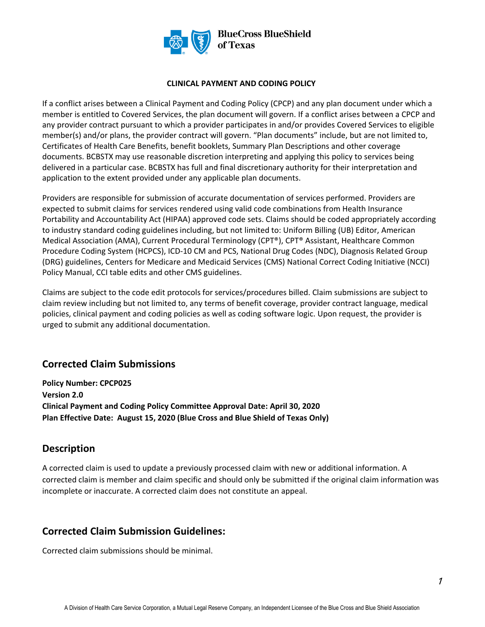

#### **CLINICAL PAYMENT AND CODING POLICY**

If a conflict arises between a Clinical Payment and Coding Policy (CPCP) and any plan document under which a member is entitled to Covered Services, the plan document will govern. If a conflict arises between a CPCP and any provider contract pursuant to which a provider participates in and/or provides Covered Services to eligible member(s) and/or plans, the provider contract will govern. "Plan documents" include, but are not limited to, Certificates of Health Care Benefits, benefit booklets, Summary Plan Descriptions and other coverage documents. BCBSTX may use reasonable discretion interpreting and applying this policy to services being delivered in a particular case. BCBSTX has full and final discretionary authority for their interpretation and application to the extent provided under any applicable plan documents.

Providers are responsible for submission of accurate documentation of services performed. Providers are expected to submit claims for services rendered using valid code combinations from Health Insurance Portability and Accountability Act (HIPAA) approved code sets. Claims should be coded appropriately according to industry standard coding guidelines including, but not limited to: Uniform Billing (UB) Editor, American Medical Association (AMA), Current Procedural Terminology (CPT®), CPT® Assistant, Healthcare Common Procedure Coding System (HCPCS), ICD-10 CM and PCS, National Drug Codes (NDC), Diagnosis Related Group (DRG) guidelines, Centers for Medicare and Medicaid Services (CMS) National Correct Coding Initiative (NCCI) Policy Manual, CCI table edits and other CMS guidelines.

Claims are subject to the code edit protocols for services/procedures billed. Claim submissions are subject to claim review including but not limited to, any terms of benefit coverage, provider contract language, medical policies, clinical payment and coding policies as well as coding software logic. Upon request, the provider is urged to submit any additional documentation.

# **Corrected Claim Submissions**

**Policy Number: CPCP025 Version 2.0 Clinical Payment and Coding Policy Committee Approval Date: April 30, 2020 Plan Effective Date: August 15, 2020 (Blue Cross and Blue Shield of Texas Only)** 

# **Description**

A corrected claim is used to update a previously processed claim with new or additional information. A corrected claim is member and claim specific and should only be submitted if the original claim information was incomplete or inaccurate. A corrected claim does not constitute an appeal.

# **Corrected Claim Submission Guidelines:**

Corrected claim submissions should be minimal.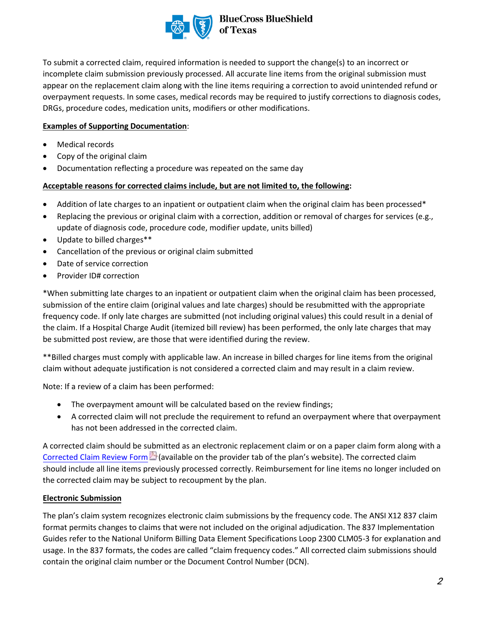

To submit a corrected claim, required information is needed to support the change(s) to an incorrect or incomplete claim submission previously processed. All accurate line items from the original submission must appear on the replacement claim along with the line items requiring a correction to avoid unintended refund or overpayment requests. In some cases, medical records may be required to justify corrections to diagnosis codes, DRGs, procedure codes, medication units, modifiers or other modifications.

### **Examples of Supporting Documentation**:

- Medical records
- Copy of the original claim
- Documentation reflecting a procedure was repeated on the same day

### **Acceptable reasons for corrected claims include, but are not limited to, the following:**

- Addition of late charges to an inpatient or outpatient claim when the original claim has been processed\*
- Replacing the previous or original claim with a correction, addition or removal of charges for services (e.g., update of diagnosis code, procedure code, modifier update, units billed)
- Update to billed charges\*\*
- Cancellation of the previous or original claim submitted
- Date of service correction
- Provider ID# correction

\*When submitting late charges to an inpatient or outpatient claim when the original claim has been processed, submission of the entire claim (original values and late charges) should be resubmitted with the appropriate frequency code. If only late charges are submitted (not including original values) this could result in a denial of the claim. If a Hospital Charge Audit (itemized bill review) has been performed, the only late charges that may be submitted post review, are those that were identified during the review.

\*\*Billed charges must comply with applicable law. An increase in billed charges for line items from the original claim without adequate justification is not considered a corrected claim and may result in a claim review.

Note: If a review of a claim has been performed:

- The overpayment amount will be calculated based on the review findings;
- A corrected claim will not preclude the requirement to refund an overpayment where that overpayment has not been addressed in the corrected claim.

A corrected claim should be submitted as an electronic replacement claim or on a paper claim form along with a [Corrected Claim Review Form](https://www.bcbstx.com/provider/pdf/tx-corrected-provider-claim-review-form-fillable.pdf) (available on the provider tab of the plan's website). The corrected claim should include all line items previously processed correctly. Reimbursement for line items no longer included on the corrected claim may be subject to recoupment by the plan.

### **Electronic Submission**

The plan's claim system recognizes electronic claim submissions by the frequency code. The ANSI X12 837 claim format permits changes to claims that were not included on the original adjudication. The 837 Implementation Guides refer to the National Uniform Billing Data Element Specifications Loop 2300 CLM05-3 for explanation and usage. In the 837 formats, the codes are called "claim frequency codes." All corrected claim submissions should contain the original claim number or the Document Control Number (DCN).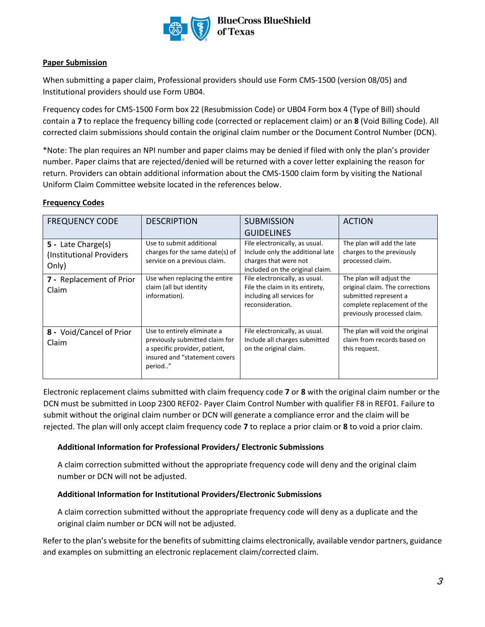

**BlueCross BlueShield** of Texas

### **Paper Submission**

When submitting a paper claim, Professional providers should use Form CMS-1500 (version 08/05) and Institutional providers should use Form UB04.

Frequency codes for CMS-1500 Form box 22 (Resubmission Code) or UB04 Form box 4 (Type of Bill) should contain a **7** to replace the frequency billing code (corrected or replacement claim) or an **8** (Void Billing Code). All corrected claim submissions should contain the original claim number or the Document Control Number (DCN).

\*Note: The plan requires an NPI number and paper claims may be denied if filed with only the plan's provider number. Paper claims that are rejected/denied will be returned with a cover letter explaining the reason for return. Providers can obtain additional information about the CMS-1500 claim form by visiting the National Uniform Claim Committee website located in the references below.

### **Frequency Codes**

| <b>FREQUENCY CODE</b>                                    | <b>DESCRIPTION</b>                                                                                                                         | <b>SUBMISSION</b>                                                                                                              | <b>ACTION</b>                                                                                                                                      |
|----------------------------------------------------------|--------------------------------------------------------------------------------------------------------------------------------------------|--------------------------------------------------------------------------------------------------------------------------------|----------------------------------------------------------------------------------------------------------------------------------------------------|
|                                                          |                                                                                                                                            | <b>GUIDELINES</b>                                                                                                              |                                                                                                                                                    |
| 5 - Late Charge(s)<br>(Institutional Providers)<br>Only) | Use to submit additional<br>charges for the same date(s) of<br>service on a previous claim.                                                | File electronically, as usual.<br>Include only the additional late<br>charges that were not<br>included on the original claim. | The plan will add the late<br>charges to the previously<br>processed claim.                                                                        |
| 7 - Replacement of Prior<br>Claim                        | Use when replacing the entire<br>claim (all but identity<br>information).                                                                  | File electronically, as usual.<br>File the claim in its entirety,<br>including all services for<br>reconsideration.            | The plan will adjust the<br>original claim. The corrections<br>submitted represent a<br>complete replacement of the<br>previously processed claim. |
| 8 - Void/Cancel of Prior<br>Claim                        | Use to entirely eliminate a<br>previously submitted claim for<br>a specific provider, patient,<br>insured and "statement covers<br>period" | File electronically, as usual.<br>Include all charges submitted<br>on the original claim.                                      | The plan will void the original<br>claim from records based on<br>this request.                                                                    |

Electronic replacement claims submitted with claim frequency code **7** or **8** with the original claim number or the DCN must be submitted in Loop 2300 REF02- Payer Claim Control Number with qualifier F8 in REF01. Failure to submit without the original claim number or DCN will generate a compliance error and the claim will be rejected. The plan will only accept claim frequency code **7** to replace a prior claim or **8** to void a prior claim.

### **Additional Information for Professional Providers/ Electronic Submissions**

A claim correction submitted without the appropriate frequency code will deny and the original claim number or DCN will not be adjusted.

## **Additional Information for Institutional Providers/Electronic Submissions**

A claim correction submitted without the appropriate frequency code will deny as a duplicate and the original claim number or DCN will not be adjusted.

Refer to the plan's website for the benefits of submitting claims electronically, available vendor partners, guidance and examples on submitting an electronic replacement claim/corrected claim.